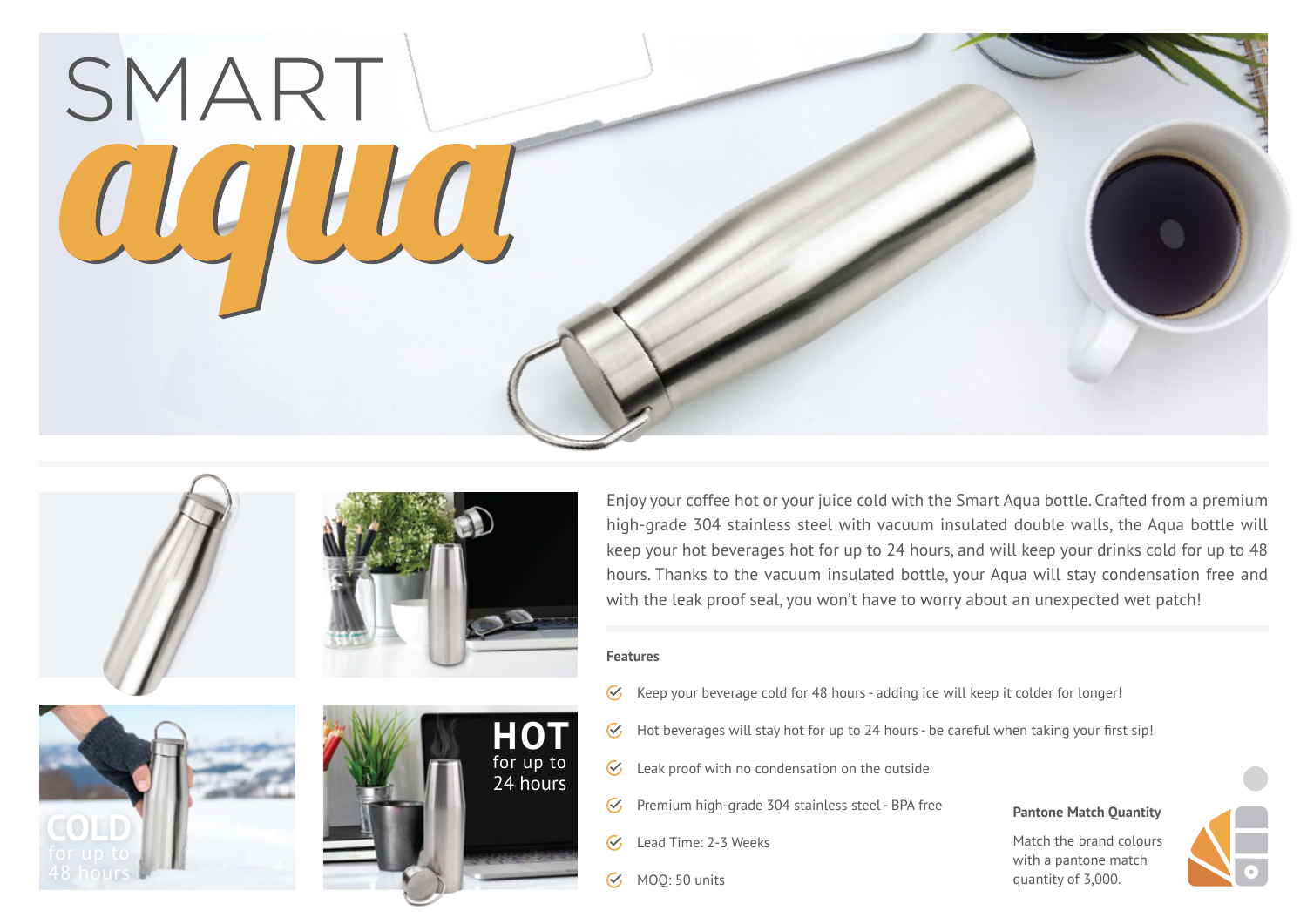



**COLD**



Enjoy your coffee hot or your juice cold with the Smart Aqua bottle. Crafted from a premium high-grade 304 stainless steel with vacuum insulated double walls, the Aqua bottle will keep your hot beverages hot for up to 24 hours, and will keep your drinks cold for up to 48 hours. Thanks to the vacuum insulated bottle, your Aqua will stay condensation free and with the leak proof seal, you won't have to worry about an unexpected wet patch!

## **Features**

- Keep your beverage cold for 48 hours adding ice will keep it colder for longer!  $\mathcal{C}$
- $\mathcal{C}_{I}$ Hot beverages will stay hot for up to 24 hours - be careful when taking your first sip!
- $\mathcal{C}$ Leak proof with no condensation on the outside
- Premium high-grade 304 stainless steel BPA free  $\mathcal{C}_{I}$
- $\overline{\mathcal{C}}$ Lead Time: 2-3 Weeks
- MOQ: 50 units  $\tilde{\vee}$



Match the brand colours with a pantone match quantity of 3,000.